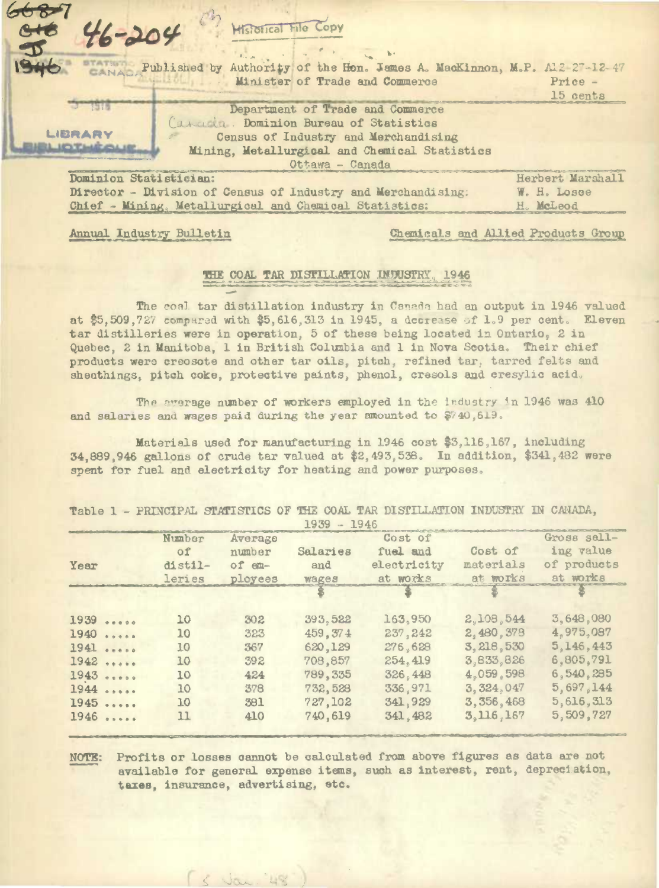| $c + c$                                                                                                            |                  |
|--------------------------------------------------------------------------------------------------------------------|------------------|
| $96 - 204$<br>$\mathcal{D}_{m}$                                                                                    |                  |
| Authority of the Hon. James A. MacKinnon, M.P. Al2-27-12-47<br>ANAL Published by<br>Minister of Trade and Commerce | $Price -$        |
|                                                                                                                    | 15 cents         |
| Department of Trade and Commerce<br>Carada. Dominion Bureau of Statistics                                          |                  |
| LIBRARY<br>Census of Industry and Merchandising                                                                    |                  |
| <b>EL IOTHÈOLIE</b><br>Mining, Metallurgical and Chemical Statistics                                               |                  |
| Ottawa - Canada                                                                                                    |                  |
| Dominion Statistician:                                                                                             | Herbert Marshall |
| Director - Division of Census of Industry and Merchandising:                                                       | W. H. Losee      |
| Chief - Mining, Metallurgical and Chemical Statistics:                                                             | H. McLeod        |

Annual Industry Bulletin

Chemicals and Allied Products Group

## THE COAL TAR DISTILLATION INDUSTRY, 1946

The coal tar distillation industry in Canada had an output in 1946 valued at \$5,509,727 compared with \$5,616,313 in 1945, a decrease of 1.9 per cent. Eleven tar distilleries were in operation, 5 of these being located in Ontario, 2 in Quebec, 2 in Manitoba, 1 in British Columbia and 1 in Nova Scotia. Their chief products were creosote and other tar oils, pitch, refined tar, tarred felts and sheathings, pitch coke, protective paints, phenol, cresols and cresylic acid.

The average number of workers employed in the industry in 1946 was 410 and salaries and wages paid during the year amounted to \$740,619.

Materials used for manufacturing in 1946 cost \$3,116,167, including 34,889,946 gallons of crude tar valued at \$2,493,538. In addition, \$341,482 were spent for fuel and electricity for heating and power purposes.

|                       | Number  | Average |                 | Cost of     |             | Gross sell- |
|-----------------------|---------|---------|-----------------|-------------|-------------|-------------|
|                       | of      | number  | <b>Salaries</b> | fuel and    | Cost of     | ing value   |
| Year                  | distil- | of em-  | and             | electricity | materials   | of products |
|                       | leries  | ployees | wages           | at works    | at works    | at works    |
|                       |         |         |                 |             |             |             |
| 1939                  | 10      | 302     | 393,522         | 163,950     | 2,108,544   | 3,648,080   |
| 1940<br>$\frac{1}{2}$ | 10      | 323     | 459.374         | 237, 242    | 2,480,378   | 4,975,087   |
| 1941                  | 10      | 367     | 620,129         | 276,628     | 3, 218, 530 | 5,146,443   |
| 1942                  | 10      | 392     | 708,857         | 254, 419    | 3,833,826   | 6,805,791   |
| 1943                  | 10      | 424     | 789, 335        | 326, 448    | 4,059,598   | 6,540,285   |
| 1944                  | 10      | 378     | 732,528         | 336,971     | 3.324.047   | 5,697,144   |
| 1945                  | 10      | 381     | 727,102         | 341,929     | 3, 356, 468 | 5,616,313   |
| $1946$                | 11      | 410     | 740,619         | 341, 482    | 3,116,167   | 5,509,727   |

Table 1 - PRINCIPAL STATISTICS OF THE COAL TAR DISTILLATION INDUSTRY IN CANADA,

Profits or losses cannot be calculated from above figures as data are not NOTE: available for general expense items, such as interest, rent, depreciation, tares, insurance, advertising, etc.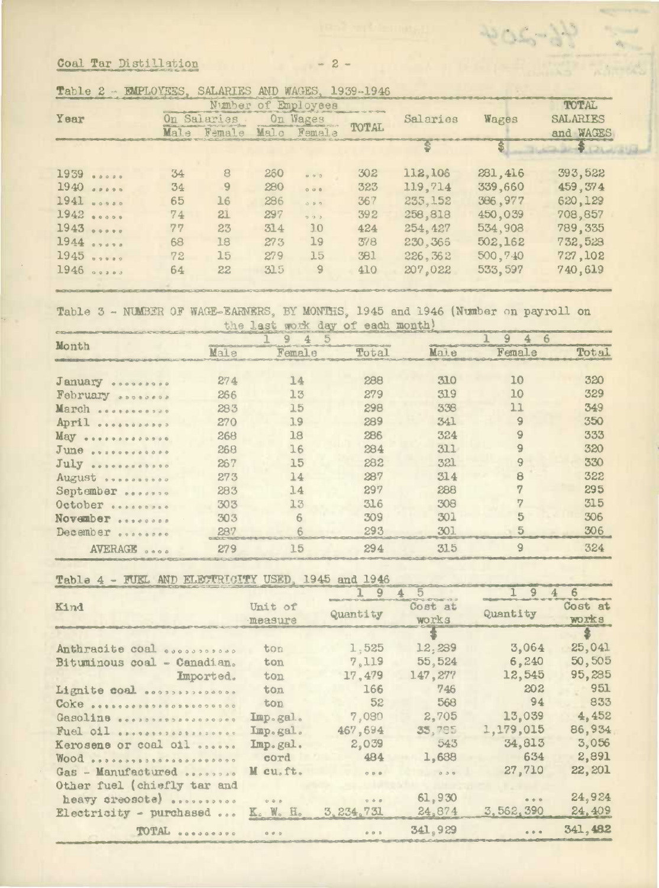Coal Tar Distillation

|                   |      |          |      | Nimber of Employees                                    |              |          |          | TOTAL           |
|-------------------|------|----------|------|--------------------------------------------------------|--------------|----------|----------|-----------------|
| Year              | On.  | Salaries |      | On Wages                                               |              | Salaries | Wages    | <b>SALARIES</b> |
|                   | Male | Female   | Malo | Femala                                                 | <b>TOTAL</b> |          |          | and WAGES       |
|                   |      |          |      |                                                        |              |          | \$       |                 |
| 1939<br>0.0000    | 34   | 8        | 260  | 0.93                                                   | 302          | 112,106  | 281,416  | 393,522         |
| 1940<br>0.0.0.0.0 | 34   | 9        | 280  | $\circ \circ \circ$                                    | 323          | 119,714  | 339,660  | 459, 374        |
| 1941              | 65   | 16       | 286  | $\begin{array}{c c} \circ & \circ & \circ \end{array}$ | 367          | 235, 152 | 386,977  | 620,129         |
| 1942              | 74   | 21       | 297  | 5.3.3                                                  | 392          | 258,818  | 450,039  | 708,857         |
| 1943              | 77   | 23       | 314  | 10                                                     | 424          | 254, 427 | 534,908  | 789,335         |
| 1944              | 68   | 18       | 273  | 19                                                     | 378          | 230, 366 | 502,162  | 732,523         |
| 1945              | 72   | 15       | 279  | 15                                                     | 381          | 226, 362 | 500,740  | 727,102         |
| 1946<br>$0.03883$ | 64   | 22       | 315  | $\overline{9}$                                         | 410          | 207,022  | 533, 597 | 740,619         |

 $-2-$ 

ROGEN

| Table 2 - | - EMPLOYEES. SALARIES AND WAGES. 1939-1946 |  |  |  |  |
|-----------|--------------------------------------------|--|--|--|--|
|-----------|--------------------------------------------|--|--|--|--|

Table 3 - NUMBER OF WAGE-EARNERS, BY MONTHS, 1945 and 1946 (Number on payroll on the last work day of each month!

| Month                      |      | 5      |       |      | 9<br>4<br>6    |        |
|----------------------------|------|--------|-------|------|----------------|--------|
|                            | Mala | Femala | Total | Male | Female         | Tot.al |
|                            |      |        |       |      |                |        |
| January                    | 274  | 14     | 288   | 310  | 10             | 320    |
| February                   | 266  | 13     | 279   | 319  | 10             | 329    |
| March<br>                  | 283  | 15     | 298   | 338  | 11             | 349    |
| April<br>                  | 270  | 19     | 289   | 341  | $\overline{9}$ | 350    |
| May<br>                    | 268  | 18     | 286   | 324  | 9              | 333    |
| June<br><b>ANNONSAGOOO</b> | 268  | 16     | 284   | 311  | 9              | 320    |
| July                       | 267  | 15     | 282   | 321  | 9              | 330    |
| August                     | 273  | 14     | 287   | 314  | 8              | 322    |
| September                  | 283  | 14     | 297   | 288  |                | 295    |
| October                    | 303  | 13     | 316   | 308  | "              | 315    |
| November<br>               | 303  | 6      | 309   | 301  | 5              | 306    |
| December<br>0.0200000      | 287  |        | 293   | 301  | 5              | 306    |
| AVERAGE<br>0.000           | 279  | 15     | 294   | 315  | $\overline{9}$ | 324    |

Table 4 - FUEL AND ELECTRICITY USED, 1945 and 1946

|                                   |                            | 9                                          |                  | 9                                                            |                  |
|-----------------------------------|----------------------------|--------------------------------------------|------------------|--------------------------------------------------------------|------------------|
| Kind                              | Unit of<br>measure         | Quantity                                   | Cost at<br>works | Quantity                                                     | Cost at<br>works |
|                                   |                            |                                            |                  |                                                              | $\bullet$        |
| Anthracite coal                   | ton                        | 1,525                                      | 12,239           | 3,064                                                        | 25,041           |
| Bituminous coal - Canadian.       | ton                        | 7,119                                      | 55, 524          | 6,240                                                        | 50,505           |
| Imported.                         | ton                        | 17,479                                     | 147,277          | 12,545                                                       | 95,285           |
| Lignite coal                      | ton                        | 166                                        | 746              | 202                                                          | 951              |
| Coke                              | ton                        | 52                                         | 568              | 94                                                           | 833              |
| Gasoline                          | Imp.gal.                   | 7,080                                      | 2,705            | 13,039                                                       | 4,452            |
| Fuel oil <i>estadoralestrance</i> | Imp.gal.                   | 467,694                                    | 35,795           | 1,179,015                                                    | 86,934           |
| Kerosene or coal oil              | Imp.gal.                   | 2,039                                      | 543              | 34,813                                                       | 3,056            |
| Wood                              | cord                       | 484                                        | 1,688            | 634                                                          | 2,891            |
| Gas - Manufactured                | M cu.ft.                   | 0.0.0                                      | 0.30             | 27,710                                                       | 22,201           |
| Other fuel (chiefly tar and       |                            |                                            |                  |                                                              |                  |
| heavy creosote)                   | 0.08                       | $0 - 0 - 0$                                | 61,930           | $\begin{array}{ccc}\n\bullet & \bullet & \circ\n\end{array}$ | 24,924           |
| Electricity - purchased           | $K_c$ W <sub>o</sub> $H_o$ | 3, 234, 731                                | 24,874           | 3,562,390                                                    | 24,409           |
| TOTAL                             | $0 + b$                    | $\begin{array}{ccc} 0 & 0 & 0 \end{array}$ | 341,929          | 0.0.0                                                        | 341,482          |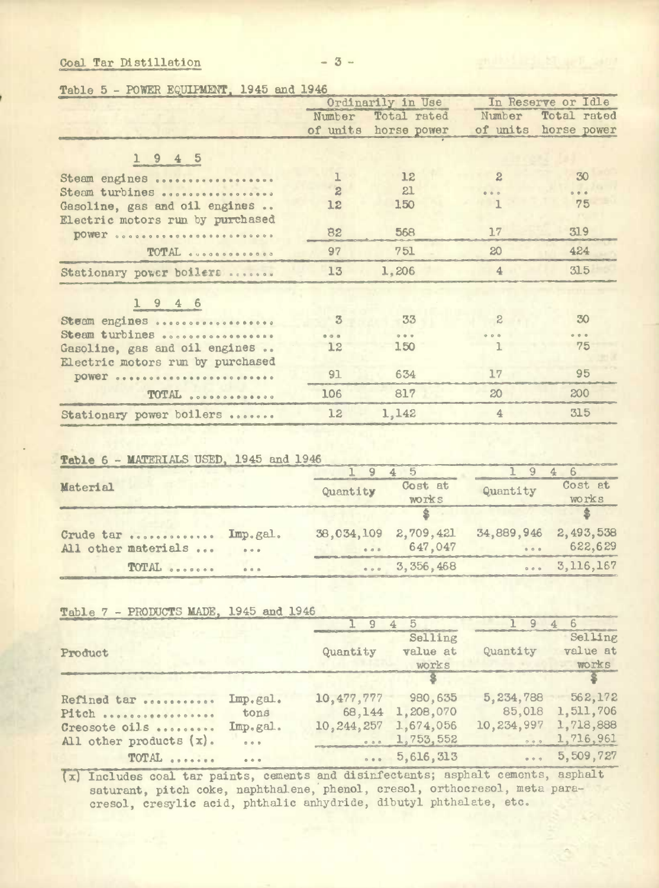## Coal Tar Distillation

Table 5 - POWER EQUIPMENT. 1945 and 1946

|                                  |                | Ordinarily in Use |                | In Reserve or Idle   |
|----------------------------------|----------------|-------------------|----------------|----------------------|
|                                  | Number         | Total rated       | Number         | Total rated          |
|                                  | of units       | horse power       |                | of units horse power |
|                                  |                |                   |                |                      |
| 1945                             |                |                   |                |                      |
| Steam engines                    | 1              | 12                | $\mathbf{2}$   | 30                   |
| Steam turbines                   | $\overline{c}$ | 21                | 0.000          | 0.0.0                |
| Gasoline, gas and oil engines    | 12             | 150               |                | 75                   |
| Electric motors run by purchased |                |                   |                |                      |
| <b>DOWER</b>                     | 82             | 568               | 17             | 319                  |
| TOTAL                            | 97             | 751               | 20             | 424                  |
| Stationary power boilers         | 13             | 1,206             | $\overline{4}$ | 315                  |
| $1946$                           |                |                   |                |                      |
|                                  |                |                   | $\mathbb{R}$   | 30                   |
| Steam engines                    | $\mathfrak{B}$ | 33                |                |                      |
| Steam turbines                   | A              | $0.0 - 0.$        | 0.0.0          | $-0.001$<br>75       |
| Gasoline, gas and oil engines    | 12             | 150               |                |                      |
| Electric motors run by purchased |                | 634               | 17             | 95                   |
| DOWER                            | 91             |                   |                |                      |
| TOTAL                            | 106            | 817               | 20             | 200                  |
| Stationary power boilers         | 12             | 1,142             | $\overline{4}$ | 315                  |

## Table 6 - MATERIALS USED, 1945 and 1946

| Material                          | Quantity             | Cost at<br>works     | Quantity             | Cost at<br>works     |
|-----------------------------------|----------------------|----------------------|----------------------|----------------------|
|                                   |                      |                      |                      |                      |
| Crude tar  Imp.gal.               | 38,034,109 2,709,421 |                      | 34,889,946 2,493,538 |                      |
| All other materials<br>$0.9 - 0.$ | $\frac{1}{2}$        | 647,047              | 0.001                | 622,629              |
| TOTAL<br>$0.0 - 0.1$              |                      | $\cdots$ 3, 356, 468 |                      | $\ldots$ 3, 116, 167 |

Table 7 - PRODUCTS MADE, 1945 and 1946

|                         |                            | 9                     | $4\quad5$          | 9                       |           |
|-------------------------|----------------------------|-----------------------|--------------------|-------------------------|-----------|
|                         |                            |                       | Selling            |                         | Selling   |
| Product                 |                            | Quantity              | value at           | Quantity                | value at  |
|                         |                            |                       | works              |                         | works     |
|                         |                            |                       |                    |                         |           |
| Refined tar             | Imp.gal.                   | 10, 477, 777 980, 635 |                    | 5, 234, 788             | 562,172   |
| Pitch                   | tons                       | 68,144                | 1,208,070          | 85,018                  | 1,511,706 |
| Creosote oils           | Imp.gal.                   | 10, 244, 257          | 1,674,056          | 10,234,997              | 1,718,888 |
| All other products (x). | 0.0.0                      | 0.0.8                 | 1,753,552          | 0.0.0                   | 1,716,961 |
| TOTAL                   | $\alpha = \alpha - \alpha$ |                       | $\ldots$ 5,616,313 | $\bullet\bullet\bullet$ | 5,509,727 |

(x) Includes coal tar paints, cements and disinfectants; asphalt cements, asphalt saturant, pitch coke, naphthalene, phenol, cresol, orthocresol, meta paracresol, cresylic acid, phthalic anhydride, dibutyl phthalate, etc.